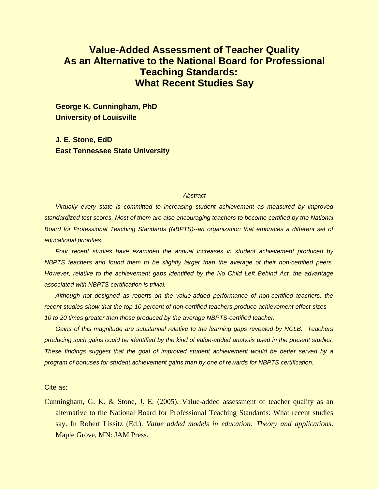# **Value-Added Assessment of Teacher Quality As an Alternative to the National Board for Professional Teaching Standards: What Recent Studies Say**

**George K. Cunningham, PhD University of Louisville** 

**J. E. Stone, EdD East Tennessee State University** 

#### *Abstract*

*Virtually every state is committed to increasing student achievement as measured by improved standardized test scores. Most of them are also encouraging teachers to become certified by the National Board for Professional Teaching Standards (NBPTS)--an organization that embraces a different set of educational priorities.* 

*Four recent studies have examined the annual increases in student achievement produced by NBPTS teachers and found them to be slightly larger than the average of their non-certified peers. However, relative to the achievement gaps identified by the No Child Left Behind Act, the advantage associated with NBPTS certification is trivial.* 

*Although not designed as reports on the value-added performance of non-certified teachers, the recent studies show that the top 10 percent of non-certified teachers produce achievement effect sizes 10 to 20 times greater than those produced by the average NBPTS-certified teacher.* 

*Gains of this magnitude are substantial relative to the learning gaps revealed by NCLB. Teachers producing such gains could be identified by the kind of value-added analysis used in the present studies. These findings suggest that the goal of improved student achievement would be better served by a program of bonuses for student achievement gains than by one of rewards for NBPTS certification.* 

Cite as:

Cunningham, G. K. & Stone, J. E. (2005). Value-added assessment of teacher quality as an alternative to the National Board for Professional Teaching Standards: What recent studies say. In Robert Lissitz (Ed.). *Value added models in education: Theory and applications*. Maple Grove, MN: JAM Press.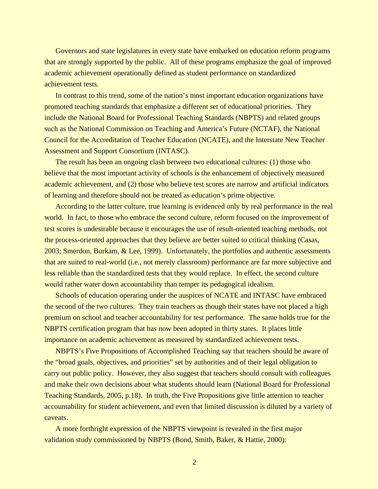Governors and state legislatures in every state have embarked on education reform programs that are strongly supported by the public. All of these programs emphasize the goal of improved academic achievement operationally defined as student performance on standardized achievement tests.

In contrast to this trend, some of the nation's most important education organizations have promoted teaching standards that emphasize a different set of educational priorities. They include the National Board for Professional Teaching Standards (NBPTS) and related groups such as the National Commission on Teaching and America's Future (NCTAF), the National Council for the Accreditation of Teacher Education (NCATE), and the Interstate New Teacher Assessment and Support Consortium (INTASC).

The result has been an ongoing clash between two educational cultures: (1) those who believe that the most important activity of schools is the enhancement of objectively measured academic achievement, and (2) those who believe test scores are narrow and artificial indicators of learning and therefore should not be treated as education's prime objective.

According to the latter culture, true learning is evidenced only by real performance in the real world. In fact, to those who embrace the second culture, reform focused on the improvement of test scores is undesirable because it encourages the use of result-oriented teaching methods, not the process-oriented approaches that they believe are better suited to critical thinking (Casas, 2003; Smerdon, Burkam, & Lee, 1999). Unfortunately, the portfolios and authentic assessments that are suited to real-world (i.e., not merely classroom) performance are far more subjective and less reliable than the standardized tests that they would replace. In effect, the second culture would rather water down accountability than temper its pedagogical idealism.

Schools of education operating under the auspices of NCATE and INTASC have embraced the second of the two cultures. They train teachers as though their states have not placed a high premium on school and teacher accountability for test performance. The same holds true for the NBPTS certification program that has now been adopted in thirty states. It places little importance on academic achievement as measured by standardized achievement tests.

NBPTS's Five Propositions of Accomplished Teaching say that teachers should be aware of the "broad goals, objectives, and priorities" set by authorities and of their legal obligation to carry out public policy. However, they also suggest that teachers should consult with colleagues and make their own decisions about what students should learn (National Board for Professional Teaching Standards, 2005, p.18). In truth, the Five Propositions give little attention to teacher accountability for student achievement, and even that limited discussion is diluted by a variety of caveats.

A more forthright expression of the NBPTS viewpoint is revealed in the first major validation study commissioned by NBPTS (Bond, Smith, Baker, & Hattie, 2000):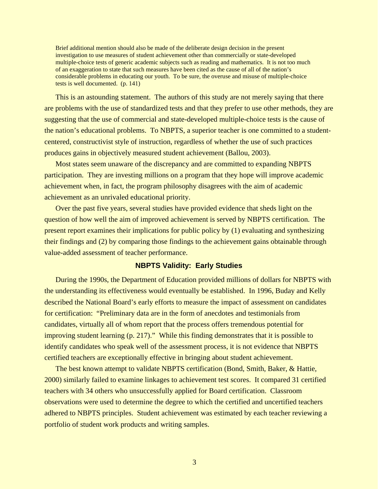Brief additional mention should also be made of the deliberate design decision in the present investigation to use measures of student achievement other than commercially or state-developed multiple-choice tests of generic academic subjects such as reading and mathematics. It is not too much of an exaggeration to state that such measures have been cited as the cause of all of the nation's considerable problems in educating our youth. To be sure, the overuse and misuse of multiple-choice tests is well documented. (p. 141)

This is an astounding statement. The authors of this study are not merely saying that there are problems with the use of standardized tests and that they prefer to use other methods, they are suggesting that the use of commercial and state-developed multiple-choice tests is the cause of the nation's educational problems. To NBPTS, a superior teacher is one committed to a studentcentered, constructivist style of instruction, regardless of whether the use of such practices produces gains in objectively measured student achievement (Ballou, 2003).

Most states seem unaware of the discrepancy and are committed to expanding NBPTS participation. They are investing millions on a program that they hope will improve academic achievement when, in fact, the program philosophy disagrees with the aim of academic achievement as an unrivaled educational priority.

Over the past five years, several studies have provided evidence that sheds light on the question of how well the aim of improved achievement is served by NBPTS certification. The present report examines their implications for public policy by (1) evaluating and synthesizing their findings and (2) by comparing those findings to the achievement gains obtainable through value-added assessment of teacher performance.

## **NBPTS Validity: Early Studies**

During the 1990s, the Department of Education provided millions of dollars for NBPTS with the understanding its effectiveness would eventually be established. In 1996, Buday and Kelly described the National Board's early efforts to measure the impact of assessment on candidates for certification: "Preliminary data are in the form of anecdotes and testimonials from candidates, virtually all of whom report that the process offers tremendous potential for improving student learning (p. 217)." While this finding demonstrates that it is possible to identify candidates who speak well of the assessment process, it is not evidence that NBPTS certified teachers are exceptionally effective in bringing about student achievement.

The best known attempt to validate NBPTS certification (Bond, Smith, Baker, & Hattie, 2000) similarly failed to examine linkages to achievement test scores. It compared 31 certified teachers with 34 others who unsuccessfully applied for Board certification. Classroom observations were used to determine the degree to which the certified and uncertified teachers adhered to NBPTS principles. Student achievement was estimated by each teacher reviewing a portfolio of student work products and writing samples.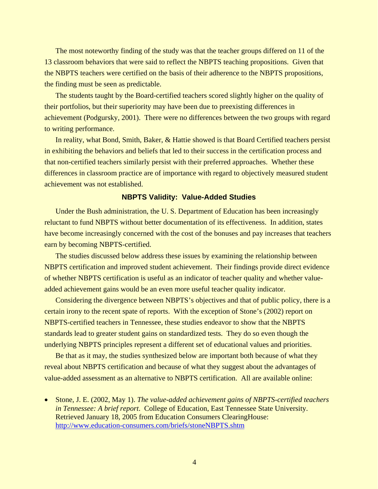The most noteworthy finding of the study was that the teacher groups differed on 11 of the 13 classroom behaviors that were said to reflect the NBPTS teaching propositions. Given that the NBPTS teachers were certified on the basis of their adherence to the NBPTS propositions, the finding must be seen as predictable.

The students taught by the Board-certified teachers scored slightly higher on the quality of their portfolios, but their superiority may have been due to preexisting differences in achievement (Podgursky, 2001). There were no differences between the two groups with regard to writing performance.

In reality, what Bond, Smith, Baker, & Hattie showed is that Board Certified teachers persist in exhibiting the behaviors and beliefs that led to their success in the certification process and that non-certified teachers similarly persist with their preferred approaches. Whether these differences in classroom practice are of importance with regard to objectively measured student achievement was not established.

#### **NBPTS Validity: Value-Added Studies**

Under the Bush administration, the U. S. Department of Education has been increasingly reluctant to fund NBPTS without better documentation of its effectiveness. In addition, states have become increasingly concerned with the cost of the bonuses and pay increases that teachers earn by becoming NBPTS-certified.

The studies discussed below address these issues by examining the relationship between NBPTS certification and improved student achievement. Their findings provide direct evidence of whether NBPTS certification is useful as an indicator of teacher quality and whether valueadded achievement gains would be an even more useful teacher quality indicator.

Considering the divergence between NBPTS's objectives and that of public policy, there is a certain irony to the recent spate of reports. With the exception of Stone's (2002) report on NBPTS-certified teachers in Tennessee, these studies endeavor to show that the NBPTS standards lead to greater student gains on standardized tests. They do so even though the underlying NBPTS principles represent a different set of educational values and priorities.

Be that as it may, the studies synthesized below are important both because of what they reveal about NBPTS certification and because of what they suggest about the advantages of value-added assessment as an alternative to NBPTS certification. All are available online:

• Stone, J. E. (2002, May 1). *The value-added achievement gains of NBPTS-certified teachers in Tennessee: A brief report*. College of Education, East Tennessee State University. Retrieved January 18, 2005 from Education Consumers ClearingHouse: <http://www.education-consumers.com/briefs/stoneNBPTS.shtm>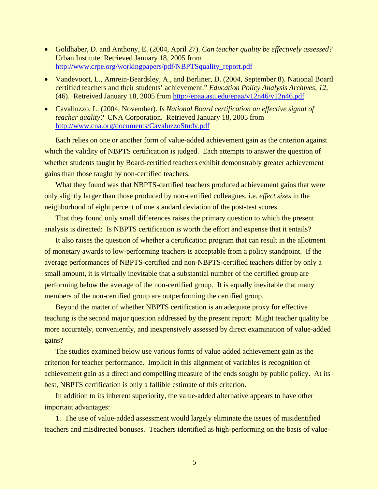- Goldhaber, D. and Anthony, E. (2004, April 27). *Can teacher quality be effectively assessed?* Urban Institute. Retrieved January 18, 2005 from [http://www.crpe.org/workingpapers/pdf/NBPTSquality\\_report.pdf](http://www.crpe.org/workingpapers/pdf/NBPTSquality_report.pdf)
- Vandevoort, L., Amrein-Beardsley, A., and Berliner, D. (2004, September 8). National Board certified teachers and their students' achievement." *Education Policy Analysis Archives, 12,* (46). Retreived January 18, 2005 from<http://epaa.asu.edu/epaa/v12n46/v12n46.pdf>
- Cavalluzzo, L. (2004, November). *Is National Board certification an effective signal of teacher quality?* CNA Corporation. Retrieved January 18, 2005 from <http://www.cna.org/documents/CavaluzzoStudy.pdf>

Each relies on one or another form of value-added achievement gain as the criterion against which the validity of NBPTS certification is judged. Each attempts to answer the question of whether students taught by Board-certified teachers exhibit demonstrably greater achievement gains than those taught by non-certified teachers.

What they found was that NBPTS-certified teachers produced achievement gains that were only slightly larger than those produced by non-certified colleagues, i.e. *effect sizes* in the neighborhood of eight percent of one standard deviation of the post-test scores.

That they found only small differences raises the primary question to which the present analysis is directed: Is NBPTS certification is worth the effort and expense that it entails?

It also raises the question of whether a certification program that can result in the allotment of monetary awards to low-performing teachers is acceptable from a policy standpoint. If the average performances of NBPTS-certified and non-NBPTS-certified teachers differ by only a small amount, it is virtually inevitable that a substantial number of the certified group are performing below the average of the non-certified group. It is equally inevitable that many members of the non-certified group are outperforming the certified group.

Beyond the matter of whether NBPTS certification is an adequate proxy for effective teaching is the second major question addressed by the present report: Might teacher quality be more accurately, conveniently, and inexpensively assessed by direct examination of value-added gains?

The studies examined below use various forms of value-added achievement gain as the criterion for teacher performance. Implicit in this alignment of variables is recognition of achievement gain as a direct and compelling measure of the ends sought by public policy. At its best, NBPTS certification is only a fallible estimate of this criterion.

In addition to its inherent superiority, the value-added alternative appears to have other important advantages:

1. The use of value-added assessment would largely eliminate the issues of misidentified teachers and misdirected bonuses. Teachers identified as high-performing on the basis of value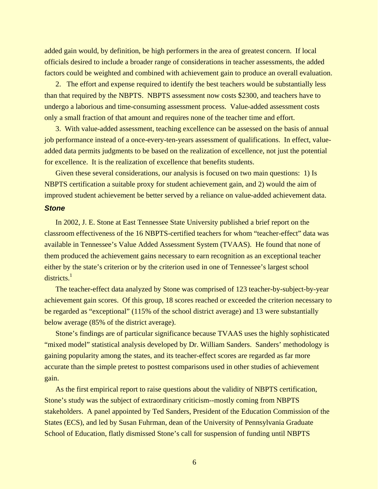added gain would, by definition, be high performers in the area of greatest concern. If local officials desired to include a broader range of considerations in teacher assessments, the added factors could be weighted and combined with achievement gain to produce an overall evaluation.

2. The effort and expense required to identify the best teachers would be substantially less than that required by the NBPTS. NBPTS assessment now costs \$2300, and teachers have to undergo a laborious and time-consuming assessment process. Value-added assessment costs only a small fraction of that amount and requires none of the teacher time and effort.

3. With value-added assessment, teaching excellence can be assessed on the basis of annual job performance instead of a once-every-ten-years assessment of qualifications. In effect, valueadded data permits judgments to be based on the realization of excellence, not just the potential for excellence. It is the realization of excellence that benefits students.

Given these several considerations, our analysis is focused on two main questions: 1) Is NBPTS certification a suitable proxy for student achievement gain, and 2) would the aim of improved student achievement be better served by a reliance on value-added achievement data.

#### *Stone*

In 2002, J. E. Stone at East Tennessee State University published a brief report on the classroom effectiveness of the 16 NBPTS-certified teachers for whom "teacher-effect" data was available in Tennessee's Value Added Assessment System (TVAAS). He found that none of them produced the achievement gains necessary to earn recognition as an exceptional teacher either by the state's criterion or by the criterion used in one of Tennessee's largest school districts.<sup>1</sup>

The teacher-effect data analyzed by Stone was comprised of 123 teacher-by-subject-by-year achievement gain scores. Of this group, 18 scores reached or exceeded the criterion necessary to be regarded as "exceptional" (115% of the school district average) and 13 were substantially below average (85% of the district average).

Stone's findings are of particular significance because TVAAS uses the highly sophisticated "mixed model" statistical analysis developed by Dr. William Sanders. Sanders' methodology is gaining popularity among the states, and its teacher-effect scores are regarded as far more accurate than the simple pretest to posttest comparisons used in other studies of achievement gain.

As the first empirical report to raise questions about the validity of NBPTS certification, Stone's study was the subject of extraordinary criticism--mostly coming from NBPTS stakeholders. A panel appointed by Ted Sanders, President of the Education Commission of the States (ECS), and led by Susan Fuhrman, dean of the University of Pennsylvania Graduate School of Education, flatly dismissed Stone's call for suspension of funding until NBPTS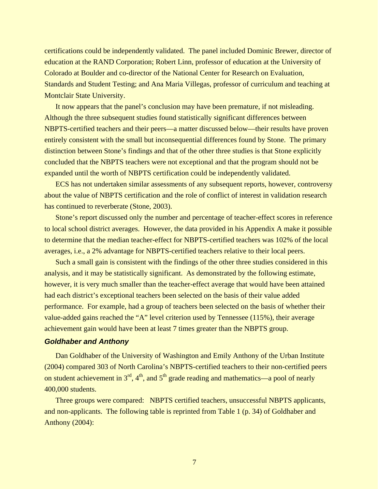certifications could be independently validated. The panel included Dominic Brewer, director of education at the RAND Corporation; Robert Linn, professor of education at the University of Colorado at Boulder and co-director of the National Center for Research on Evaluation, Standards and Student Testing; and Ana Maria Villegas, professor of curriculum and teaching at Montclair State University.

It now appears that the panel's conclusion may have been premature, if not misleading. Although the three subsequent studies found statistically significant differences between NBPTS-certified teachers and their peers—a matter discussed below—their results have proven entirely consistent with the small but inconsequential differences found by Stone. The primary distinction between Stone's findings and that of the other three studies is that Stone explicitly concluded that the NBPTS teachers were not exceptional and that the program should not be expanded until the worth of NBPTS certification could be independently validated.

ECS has not undertaken similar assessments of any subsequent reports, however, controversy about the value of NBPTS certification and the role of conflict of interest in validation research has continued to reverberate (Stone, 2003).

Stone's report discussed only the number and percentage of teacher-effect scores in reference to local school district averages. However, the data provided in his Appendix A make it possible to determine that the median teacher-effect for NBPTS-certified teachers was 102% of the local averages, i.e., a 2% advantage for NBPTS-certified teachers relative to their local peers.

Such a small gain is consistent with the findings of the other three studies considered in this analysis, and it may be statistically significant. As demonstrated by the following estimate, however, it is very much smaller than the teacher-effect average that would have been attained had each district's exceptional teachers been selected on the basis of their value added performance. For example, had a group of teachers been selected on the basis of whether their value-added gains reached the "A" level criterion used by Tennessee (115%), their average achievement gain would have been at least 7 times greater than the NBPTS group.

#### *Goldhaber and Anthony*

Dan Goldhaber of the University of Washington and Emily Anthony of the Urban Institute (2004) compared 303 of North Carolina's NBPTS-certified teachers to their non-certified peers on student achievement in  $3<sup>rd</sup>$ ,  $4<sup>th</sup>$ , and  $5<sup>th</sup>$  grade reading and mathematics—a pool of nearly 400,000 students.

Three groups were compared: NBPTS certified teachers, unsuccessful NBPTS applicants, and non-applicants. The following table is reprinted from Table 1 (p. 34) of Goldhaber and Anthony (2004):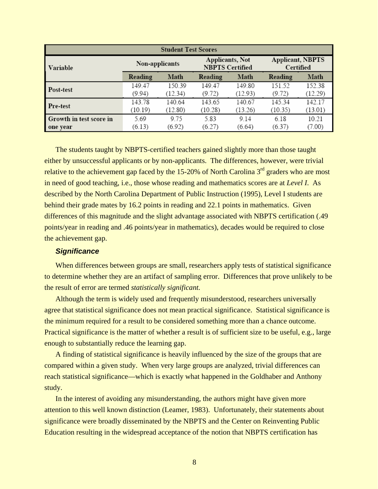| <b>Student Test Scores</b> |                   |                   |                                                  |                   |                                      |                   |
|----------------------------|-------------------|-------------------|--------------------------------------------------|-------------------|--------------------------------------|-------------------|
| Variable                   | Non-applicants    |                   | <b>Applicants, Not</b><br><b>NBPTS Certified</b> |                   | <b>Applicant, NBPTS</b><br>Certified |                   |
|                            | Reading           | Math              | Reading                                          | Math              | Reading                              | Math              |
| Post-test                  | 149.47<br>(9.94)  | 150.39<br>(12.34) | 149.47<br>(9.72)                                 | 149.80<br>(12.93) | 151.52<br>(9.72)                     | 152.38<br>(12.29) |
| Pre-test                   | 143.78<br>(10.19) | 140.64<br>(12.80) | 143.65<br>(10.28)                                | 140.67<br>(13.26) | 145.34<br>(10.35)                    | 142.17<br>(13.01) |
| Growth in test score in    | 5.69              | 975               | 5.83                                             | 9.14              | 6.18                                 | 10.21             |
| one year                   | (6.13)            | (6.92)            | (6.27)                                           | (6.64)            | (6.37)                               | (7.00)            |

The students taught by NBPTS-certified teachers gained slightly more than those taught either by unsuccessful applicants or by non-applicants. The differences, however, were trivial relative to the achievement gap faced by the  $15{\text -}20\%$  of North Carolina  $3<sup>rd</sup>$  graders who are most in need of good teaching, i.e., those whose reading and mathematics scores are at *Level I*. As described by the North Carolina Department of Public Instruction (1995), Level I students are behind their grade mates by 16.2 points in reading and 22.1 points in mathematics. Given differences of this magnitude and the slight advantage associated with NBPTS certification (.49 points/year in reading and .46 points/year in mathematics), decades would be required to close the achievement gap.

#### *Significance*

When differences between groups are small, researchers apply tests of statistical significance to determine whether they are an artifact of sampling error. Differences that prove unlikely to be the result of error are termed *statistically significant.*

Although the term is widely used and frequently misunderstood, researchers universally agree that statistical significance does not mean practical significance. Statistical significance is the minimum required for a result to be considered something more than a chance outcome. Practical significance is the matter of whether a result is of sufficient size to be useful, e.g., large enough to substantially reduce the learning gap.

A finding of statistical significance is heavily influenced by the size of the groups that are compared within a given study. When very large groups are analyzed, trivial differences can reach statistical significance—which is exactly what happened in the Goldhaber and Anthony study.

In the interest of avoiding any misunderstanding, the authors might have given more attention to this well known distinction (Leamer, 1983). Unfortunately, their statements about significance were broadly disseminated by the NBPTS and the Center on Reinventing Public Education resulting in the widespread acceptance of the notion that NBPTS certification has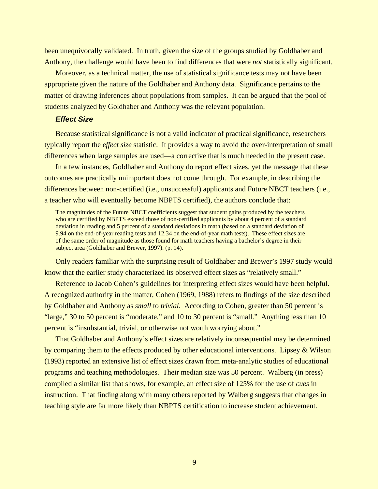been unequivocally validated. In truth, given the size of the groups studied by Goldhaber and Anthony, the challenge would have been to find differences that were *not* statistically significant.

Moreover, as a technical matter, the use of statistical significance tests may not have been appropriate given the nature of the Goldhaber and Anthony data. Significance pertains to the matter of drawing inferences about populations from samples. It can be argued that the pool of students analyzed by Goldhaber and Anthony was the relevant population.

#### *Effect Size*

Because statistical significance is not a valid indicator of practical significance, researchers typically report the *effect size* statistic. It provides a way to avoid the over-interpretation of small differences when large samples are used—a corrective that is much needed in the present case.

In a few instances, Goldhaber and Anthony do report effect sizes, yet the message that these outcomes are practically unimportant does not come through. For example, in describing the differences between non-certified (i.e., unsuccessful) applicants and Future NBCT teachers (i.e., a teacher who will eventually become NBPTS certified), the authors conclude that:

The magnitudes of the Future NBCT coefficients suggest that student gains produced by the teachers who are certified by NBPTS exceed those of non-certified applicants by about 4 percent of a standard deviation in reading and 5 percent of a standard deviations in math (based on a standard deviation of 9.94 on the end-of-year reading tests and 12.34 on the end-of-year math tests). These effect sizes are of the same order of magnitude as those found for math teachers having a bachelor's degree in their subject area (Goldhaber and Brewer, 1997). (p. 14).

Only readers familiar with the surprising result of Goldhaber and Brewer's 1997 study would know that the earlier study characterized its observed effect sizes as "relatively small."

Reference to Jacob Cohen's guidelines for interpreting effect sizes would have been helpful. A recognized authority in the matter, Cohen (1969, 1988) refers to findings of the size described by Goldhaber and Anthony as *small* to *trivial*. According to Cohen, greater than 50 percent is "large," 30 to 50 percent is "moderate," and 10 to 30 percent is "small." Anything less than 10 percent is "insubstantial, trivial, or otherwise not worth worrying about."

That Goldhaber and Anthony's effect sizes are relatively inconsequential may be determined by comparing them to the effects produced by other educational interventions. Lipsey & Wilson (1993) reported an extensive list of effect sizes drawn from meta-analytic studies of educational programs and teaching methodologies. Their median size was 50 percent. Walberg (in press) compiled a similar list that shows, for example, an effect size of 125% for the use of *cues* in instruction. That finding along with many others reported by Walberg suggests that changes in teaching style are far more likely than NBPTS certification to increase student achievement.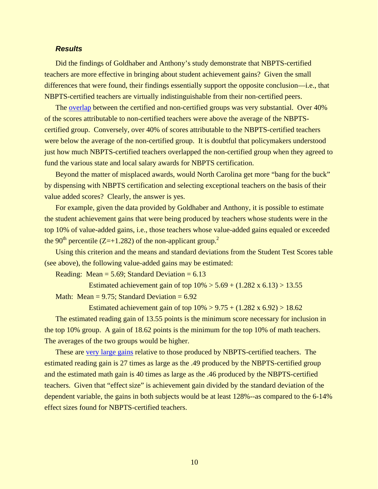### *Results*

Did the findings of Goldhaber and Anthony's study demonstrate that NBPTS-certified teachers are more effective in bringing about student achievement gains? Given the small differences that were found, their findings essentially support the opposite conclusion—i.e., that NBPTS-certified teachers are virtually indistinguishable from their non-certified peers.

The [overlap](http://www.education-consumers.com/Goldhaber reading-math overlap.pdf) between the certified and non-certified groups was very substantial. Over 40% of the scores attributable to non-certified teachers were above the average of the NBPTScertified group. Conversely, over 40% of scores attributable to the NBPTS-certified teachers were below the average of the non-certified group. It is doubtful that policymakers understood just how much NBPTS-certified teachers overlapped the non-certified group when they agreed to fund the various state and local salary awards for NBPTS certification.

Beyond the matter of misplaced awards, would North Carolina get more "bang for the buck" by dispensing with NBPTS certification and selecting exceptional teachers on the basis of their value added scores? Clearly, the answer is yes.

For example, given the data provided by Goldhaber and Anthony, it is possible to estimate the student achievement gains that were being produced by teachers whose students were in the top 10% of value-added gains, i.e., those teachers whose value-added gains equaled or exceeded the 90<sup>th</sup> percentile (Z=+1.[2](#page-16-1)82) of the non-applicant group.<sup>2</sup>

Using this criterion and the means and standard deviations from the Student Test Scores table (see above), the following value-added gains may be estimated:

Reading: Mean  $= 5.69$ ; Standard Deviation  $= 6.13$ 

Estimated achievement gain of top  $10\% > 5.69 + (1.282 \times 6.13) > 13.55$ Math: Mean =  $9.75$ ; Standard Deviation =  $6.92$ 

Estimated achievement gain of top  $10\% > 9.75 + (1.282 \times 6.92) > 18.62$ 

The estimated reading gain of 13.55 points is the minimum score necessary for inclusion in the top 10% group. A gain of 18.62 points is the minimum for the top 10% of math teachers. The averages of the two groups would be higher.

These are [very large gains](http://www.education-consumers.com/NBPTSgroups-projected.pdf) relative to those produced by NBPTS-certified teachers. The estimated reading gain is 27 times as large as the .49 produced by the NBPTS-certified group and the estimated math gain is 40 times as large as the .46 produced by the NBPTS-certified teachers. Given that "effect size" is achievement gain divided by the standard deviation of the dependent variable, the gains in both subjects would be at least 128%--as compared to the 6-14% effect sizes found for NBPTS-certified teachers.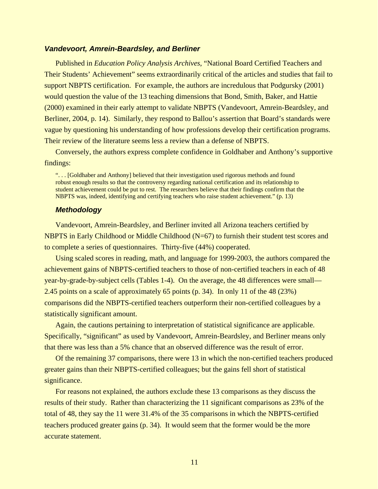#### *Vandevoort, Amrein-Beardsley, and Berliner*

Published in *Education Policy Analysis Archives*, "National Board Certified Teachers and Their Students' Achievement" seems extraordinarily critical of the articles and studies that fail to support NBPTS certification. For example, the authors are incredulous that Podgursky (2001) would question the value of the 13 teaching dimensions that Bond, Smith, Baker, and Hattie (2000) examined in their early attempt to validate NBPTS (Vandevoort, Amrein-Beardsley, and Berliner, 2004, p. 14). Similarly, they respond to Ballou's assertion that Board's standards were vague by questioning his understanding of how professions develop their certification programs. Their review of the literature seems less a review than a defense of NBPTS.

Conversely, the authors express complete confidence in Goldhaber and Anthony's supportive findings:

". . . [Goldhaber and Anthony] believed that their investigation used rigorous methods and found robust enough results so that the controversy regarding national certification and its relationship to student achievement could be put to rest. The researchers believe that their findings confirm that the NBPTS was, indeed, identifying and certifying teachers who raise student achievement." (p. 13)

#### *Methodology*

Vandevoort, Amrein-Beardsley, and Berliner invited all Arizona teachers certified by NBPTS in Early Childhood or Middle Childhood (N=67) to furnish their student test scores and to complete a series of questionnaires. Thirty-five (44%) cooperated.

Using scaled scores in reading, math, and language for 1999-2003, the authors compared the achievement gains of NBPTS-certified teachers to those of non-certified teachers in each of 48 year-by-grade-by-subject cells (Tables 1-4). On the average, the 48 differences were small— 2.45 points on a scale of approximately 65 points (p. 34). In only 11 of the 48 (23%) comparisons did the NBPTS-certified teachers outperform their non-certified colleagues by a statistically significant amount.

Again, the cautions pertaining to interpretation of statistical significance are applicable. Specifically, "significant" as used by Vandevoort, Amrein-Beardsley, and Berliner means only that there was less than a 5% chance that an observed difference was the result of error.

Of the remaining 37 comparisons, there were 13 in which the non-certified teachers produced greater gains than their NBPTS-certified colleagues; but the gains fell short of statistical significance.

For reasons not explained, the authors exclude these 13 comparisons as they discuss the results of their study. Rather than characterizing the 11 significant comparisons as 23% of the total of 48, they say the 11 were 31.4% of the 35 comparisons in which the NBPTS-certified teachers produced greater gains (p. 34). It would seem that the former would be the more accurate statement.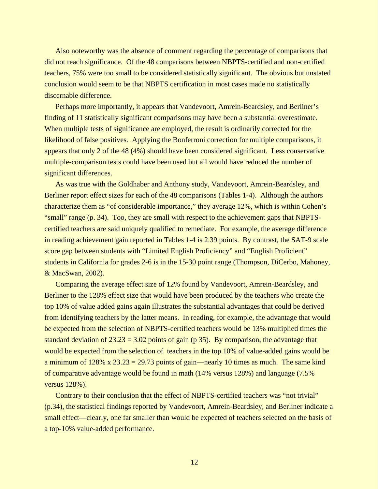Also noteworthy was the absence of comment regarding the percentage of comparisons that did not reach significance. Of the 48 comparisons between NBPTS-certified and non-certified teachers, 75% were too small to be considered statistically significant. The obvious but unstated conclusion would seem to be that NBPTS certification in most cases made no statistically discernable difference.

Perhaps more importantly, it appears that Vandevoort, Amrein-Beardsley, and Berliner's finding of 11 statistically significant comparisons may have been a substantial overestimate. When multiple tests of significance are employed, the result is ordinarily corrected for the likelihood of false positives. Applying the Bonferroni correction for multiple comparisons, it appears that only 2 of the 48 (4%) should have been considered significant. Less conservative multiple-comparison tests could have been used but all would have reduced the number of significant differences.

As was true with the Goldhaber and Anthony study, Vandevoort, Amrein-Beardsley, and Berliner report effect sizes for each of the 48 comparisons (Tables 1-4). Although the authors characterize them as "of considerable importance," they average 12%, which is within Cohen's "small" range (p. 34). Too, they are small with respect to the achievement gaps that NBPTScertified teachers are said uniquely qualified to remediate. For example, the average difference in reading achievement gain reported in Tables 1-4 is 2.39 points. By contrast, the SAT-9 scale score gap between students with "Limited English Proficiency" and "English Proficient" students in California for grades 2-6 is in the 15-30 point range (Thompson, DiCerbo, Mahoney, & MacSwan, 2002).

Comparing the average effect size of 12% found by Vandevoort, Amrein-Beardsley, and Berliner to the 128% effect size that would have been produced by the teachers who create the top 10% of value added gains again illustrates the substantial advantages that could be derived from identifying teachers by the latter means. In reading, for example, the advantage that would be expected from the selection of NBPTS-certified teachers would be 13% multiplied times the standard deviation of  $23.23 = 3.02$  points of gain (p 35). By comparison, the advantage that would be expected from the selection of teachers in the top 10% of value-added gains would be a minimum of  $128\% \times 23.23 = 29.73$  points of gain—nearly 10 times as much. The same kind of comparative advantage would be found in math (14% versus 128%) and language (7.5% versus 128%).

Contrary to their conclusion that the effect of NBPTS-certified teachers was "not trivial" (p.34), the statistical findings reported by Vandevoort, Amrein-Beardsley, and Berliner indicate a small effect—clearly, one far smaller than would be expected of teachers selected on the basis of a top-10% value-added performance.

12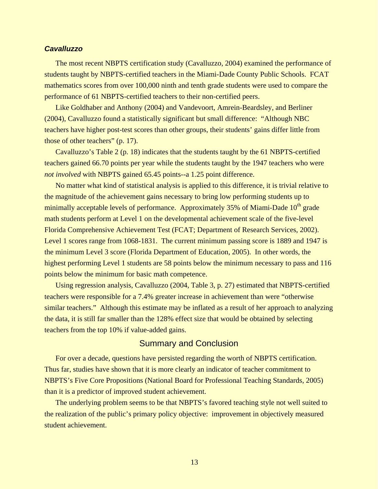### *Cavalluzzo*

The most recent NBPTS certification study (Cavalluzzo, 2004) examined the performance of students taught by NBPTS-certified teachers in the Miami-Dade County Public Schools. FCAT mathematics scores from over 100,000 ninth and tenth grade students were used to compare the performance of 61 NBPTS-certified teachers to their non-certified peers.

Like Goldhaber and Anthony (2004) and Vandevoort, Amrein-Beardsley, and Berliner (2004), Cavalluzzo found a statistically significant but small difference: "Although NBC teachers have higher post-test scores than other groups, their students' gains differ little from those of other teachers" (p. 17).

Cavalluzzo's Table 2 (p. 18) indicates that the students taught by the 61 NBPTS-certified teachers gained 66.70 points per year while the students taught by the 1947 teachers who were *not involved* with NBPTS gained 65.45 points--a 1.25 point difference.

No matter what kind of statistical analysis is applied to this difference, it is trivial relative to the magnitude of the achievement gains necessary to bring low performing students up to minimally acceptable levels of performance. Approximately 35% of Miami-Dade 10<sup>th</sup> grade math students perform at Level 1 on the developmental achievement scale of the five-level Florida Comprehensive Achievement Test (FCAT; Department of Research Services, 2002). Level 1 scores range from 1068-1831. The current minimum passing score is 1889 and 1947 is the minimum Level 3 score (Florida Department of Education, 2005). In other words, the highest performing Level 1 students are 58 points below the minimum necessary to pass and 116 points below the minimum for basic math competence.

Using regression analysis, Cavalluzzo (2004, Table 3, p. 27) estimated that NBPTS-certified teachers were responsible for a 7.4% greater increase in achievement than were "otherwise similar teachers." Although this estimate may be inflated as a result of her approach to analyzing the data, it is still far smaller than the 128% effect size that would be obtained by selecting teachers from the top 10% if value-added gains.

## Summary and Conclusion

For over a decade, questions have persisted regarding the worth of NBPTS certification. Thus far, studies have shown that it is more clearly an indicator of teacher commitment to NBPTS's Five Core Propositions (National Board for Professional Teaching Standards, 2005) than it is a predictor of improved student achievement.

The underlying problem seems to be that NBPTS's favored teaching style not well suited to the realization of the public's primary policy objective: improvement in objectively measured student achievement.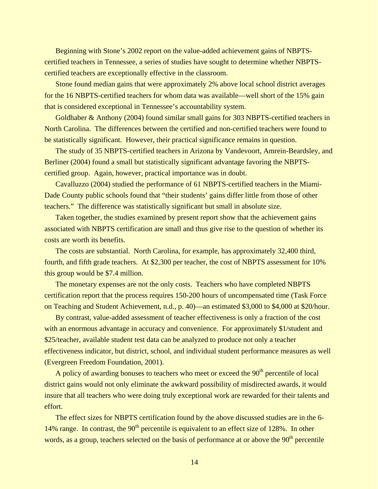Beginning with Stone's 2002 report on the value-added achievement gains of NBPTScertified teachers in Tennessee, a series of studies have sought to determine whether NBPTScertified teachers are exceptionally effective in the classroom.

Stone found median gains that were approximately 2% above local school district averages for the 16 NBPTS-certified teachers for whom data was available—well short of the 15% gain that is considered exceptional in Tennessee's accountability system.

Goldhaber & Anthony (2004) found similar small gains for 303 NBPTS-certified teachers in North Carolina. The differences between the certified and non-certified teachers were found to be statistically significant. However, their practical significance remains in question.

The study of 35 NBPTS-certified teachers in Arizona by Vandevoort, Amrein-Beardsley, and Berliner (2004) found a small but statistically significant advantage favoring the NBPTScertified group. Again, however, practical importance was in doubt.

Cavalluzzo (2004) studied the performance of 61 NBPTS-certified teachers in the Miami-Dade County public schools found that "their students' gains differ little from those of other teachers." The difference was statistically significant but small in absolute size.

Taken together, the studies examined by present report show that the achievement gains associated with NBPTS certification are small and thus give rise to the question of whether its costs are worth its benefits.

The costs are substantial. North Carolina, for example, has approximately 32,400 third, fourth, and fifth grade teachers. At \$2,300 per teacher, the cost of NBPTS assessment for 10% this group would be \$7.4 million.

The monetary expenses are not the only costs. Teachers who have completed NBPTS certification report that the process requires 150-200 hours of uncompensated time (Task Force on Teaching and Student Achievement, n.d., p. 40)—an estimated \$3,000 to \$4,000 at \$20/hour.

By contrast, value-added assessment of teacher effectiveness is only a fraction of the cost with an enormous advantage in accuracy and convenience. For approximately \$1/student and \$25/teacher, available student test data can be analyzed to produce not only a teacher effectiveness indicator, but district, school, and individual student performance measures as well (Evergreen Freedom Foundation, 2001).

A policy of awarding bonuses to teachers who meet or exceed the  $90<sup>th</sup>$  percentile of local district gains would not only eliminate the awkward possibility of misdirected awards, it would insure that all teachers who were doing truly exceptional work are rewarded for their talents and effort.

The effect sizes for NBPTS certification found by the above discussed studies are in the 6- 14% range. In contrast, the  $90<sup>th</sup>$  percentile is equivalent to an effect size of 128%. In other words, as a group, teachers selected on the basis of performance at or above the  $90<sup>th</sup>$  percentile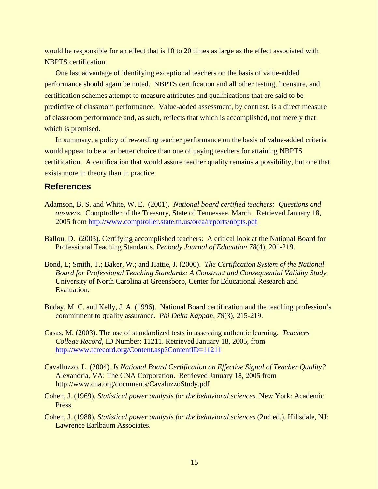would be responsible for an effect that is 10 to 20 times as large as the effect associated with NBPTS certification.

One last advantage of identifying exceptional teachers on the basis of value-added performance should again be noted. NBPTS certification and all other testing, licensure, and certification schemes attempt to measure attributes and qualifications that are said to be predictive of classroom performance. Value-added assessment, by contrast, is a direct measure of classroom performance and, as such, reflects that which is accomplished, not merely that which is promised.

In summary, a policy of rewarding teacher performance on the basis of value-added criteria would appear to be a far better choice than one of paying teachers for attaining NBPTS certification. A certification that would assure teacher quality remains a possibility, but one that exists more in theory than in practice.

## **References**

- Adamson, B. S. and White, W. E. (2001). *National board certified teachers: Questions and answers.* Comptroller of the Treasury, State of Tennessee. March. Retrieved January 18, 2005 from <http://www.comptroller.state.tn.us/orea/reports/nbpts.pdf>
- Ballou, D. (2003). Certifying accomplished teachers: A critical look at the National Board for Professional Teaching Standards. *Peabody Journal of Education 78*(4), 201-219.
- Bond, L; Smith, T.; Baker, W.; and Hattie, J. (2000). *The Certification System of the National Board for Professional Teaching Standards: A Construct and Consequential Validity Study.*  University of North Carolina at Greensboro, Center for Educational Research and Evaluation.
- Buday, M. C. and Kelly, J. A. (1996). National Board certification and the teaching profession's commitment to quality assurance. *Phi Delta Kappan, 78*(3), 215-219.
- Casas, M. (2003). The use of standardized tests in assessing authentic learning. *Teachers College Record*, ID Number: 11211. Retrieved January 18, 2005, from <http://www.tcrecord.org/Content.asp?ContentID=11211>
- Cavalluzzo, L. (2004). *Is National Board Certification an Effective Signal of Teacher Quality?* Alexandria, VA: The CNA Corporation. Retrieved January 18, 2005 from http://www.cna.org/documents/CavaluzzoStudy.pdf
- Cohen, J. (1969). *Statistical power analysis for the behavioral sciences.* New York: Academic Press.
- Cohen, J. (1988). *Statistical power analysis for the behavioral sciences* (2nd ed.). Hillsdale, NJ: Lawrence Earlbaum Associates.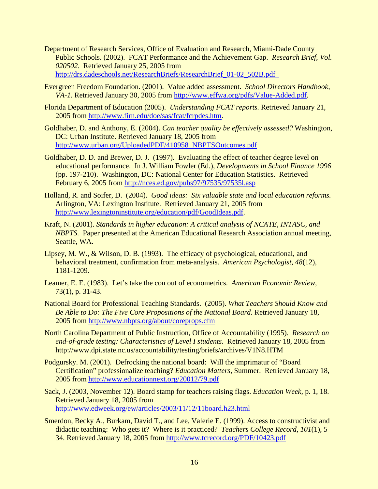- Department of Research Services, Office of Evaluation and Research, Miami-Dade County Public Schools. (2002). FCAT Performance and the Achievement Gap. *Research Brief, Vol. 020502*. Retrieved January 25, 2005 from [http://drs.dadeschools.net/ResearchBriefs/ResearchBrief\\_01-02\\_502B.pdf](http://drs.dadeschools.net/ResearchBriefs/ResearchBrief_01-02_502B.pdf)
- Evergreen Freedom Foundation. (2001). Value added assessment. *School Directors Handbook, VA-1*. Retrieved January 30, 2005 from [http://www.effwa.org/pdfs/Value-Added.pdf.](http://www.effwa.org/pdfs/Value-Added.pdf)
- Florida Department of Education (2005). *Understanding FCAT reports.* Retrieved January 21, 2005 from [http://www.firn.edu/doe/sas/fcat/fcrpdes.htm.](http://www.firn.edu/doe/sas/fcat/fcrpdes.htm)
- Goldhaber, D. and Anthony, E. (2004). *Can teacher quality be effectively assessed?* Washington, DC: Urban Institute. Retrieved January 18, 2005 from [http://www.urban.org/UploadedPDF/410958\\_NBPTSOutcomes.pdf](http://www.urban.org/UploadedPDF/410958_NBPTSOutcomes.pdf)
- Goldhaber, D. D. and Brewer, D. J. (1997). Evaluating the effect of teacher degree level on educational performance. In J. William Fowler (Ed.), *Developments in School Finance 1996*  (pp. 197-210). Washington, DC: National Center for Education Statistics. Retrieved February 6, 2005 from <http://nces.ed.gov/pubs97/97535/97535l.asp>
- Holland, R. and Soifer, D. (2004). *Good ideas: Six valuable state and local education reforms.* Arlington, VA: Lexington Institute. Retrieved January 21, 2005 from <http://www.lexingtoninstitute.org/education/pdf/GoodIdeas.pdf>.
- Kraft, N. (2001). *Standards in higher education: A critical analysis of NCATE, INTASC, and NBPTS.* Paper presented at the American Educational Research Association annual meeting, Seattle, WA.
- Lipsey, M. W., & Wilson, D. B. (1993). The efficacy of psychological, educational, and behavioral treatment, confirmation from meta-analysis. *American Psychologist, 48*(12), 1181-1209.
- Leamer, E. E. (1983). Let's take the con out of econometrics. *American Economic Review*, 73(1), p. 31-43.
- National Board for Professional Teaching Standards. (2005). *What Teachers Should Know and Be Able to Do: The Five Core Propositions of the National Board.* Retrieved January 18, 2005 from <http://www.nbpts.org/about/coreprops.cfm>
- North Carolina Department of Public Instruction, Office of Accountability (1995). *Research on end-of-grade testing: Characteristics of Level I students.* Retrieved January 18, 2005 from http://www.dpi.state.nc.us/accountability/testing/briefs/archives/V1N8.HTM
- Podgursky. M. (2001). Defrocking the national board: Will the imprimatur of "Board Certification" professionalize teaching? *Education Matters,* Summer. Retrieved January 18, 2005 from <http://www.educationnext.org/20012/79.pdf>
- Sack, J. (2003, November 12). Board stamp for teachers raising flags. *Education Week*, p. 1, 18. Retrieved January 18, 2005 from <http://www.edweek.org/ew/articles/2003/11/12/11board.h23.html>
- Smerdon, Becky A., Burkam, David T., and Lee, Valerie E. (1999). Access to constructivist and didactic teaching: Who gets it? Where is it practiced? *Teachers College Record, 101*(1), 5– 34. Retrieved January 18, 2005 from <http://www.tcrecord.org/PDF/10423.pdf>